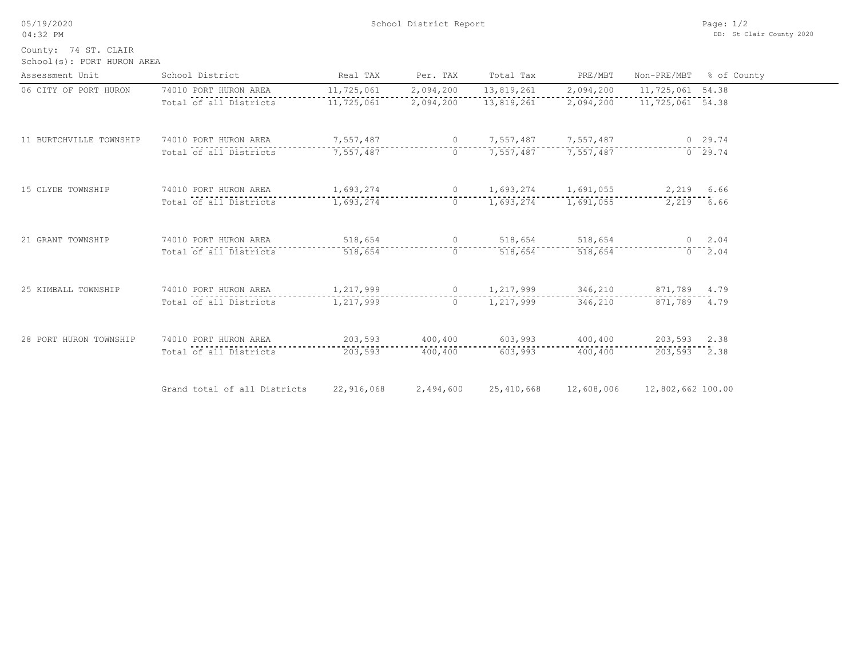05/19/2020 04:32 PM

County: 74 ST. CLAIR

| School(s): PORT HURON AREA |  |  |  |
|----------------------------|--|--|--|
|----------------------------|--|--|--|

| Assessment Unit         | School District                 | Real TAX   | Per. TAX  | Total Tax                                                                                                                                                                                                                                                                                                                          | PRE/MBT         | Non-PRE/MBT       | % of County |
|-------------------------|---------------------------------|------------|-----------|------------------------------------------------------------------------------------------------------------------------------------------------------------------------------------------------------------------------------------------------------------------------------------------------------------------------------------|-----------------|-------------------|-------------|
| 06 CITY OF PORT HURON   | 74010 PORT HURON AREA           | 11,725,061 | 2,094,200 | 13,819,261                                                                                                                                                                                                                                                                                                                         | 2,094,200       | 11,725,061 54.38  |             |
|                         | Total of all Districts          | 11,725,061 | 2,094,200 | 13,819,261                                                                                                                                                                                                                                                                                                                         | 2,094,200       | 11,725,061 54.38  |             |
| 11 BURTCHVILLE TOWNSHIP | 74010 PORT HURON AREA           | 7,557,487  |           | 0 7,557,487 7,557,487                                                                                                                                                                                                                                                                                                              |                 |                   | 0 29.74     |
|                         | Total of all Districts          | 7,557,487  |           | 0 $7,557,487$                                                                                                                                                                                                                                                                                                                      | 7,557,487       |                   | 0, 29.74    |
| 15 CLYDE TOWNSHIP       | 74010 PORT HURON AREA 1,693,274 |            |           | 0 1,693,274 1,691,055 2,219 6.66                                                                                                                                                                                                                                                                                                   |                 |                   |             |
|                         | Total of all Districts          | 1,693,274  |           | $0 \qquad 1,693,274$                                                                                                                                                                                                                                                                                                               | 1,691,055       |                   | 2,219 6.66  |
| 21 GRANT TOWNSHIP       | 74010 PORT HURON AREA           | 518,654    |           | $\overline{0}$ and $\overline{0}$ and $\overline{0}$ and $\overline{0}$ and $\overline{0}$ and $\overline{0}$ and $\overline{0}$ and $\overline{0}$ and $\overline{0}$ and $\overline{0}$ and $\overline{0}$ and $\overline{0}$ and $\overline{0}$ and $\overline{0}$ and $\overline{0}$ and $\overline{0}$ and $\overline{0}$ and | 518,654 518,654 |                   | $0 \t 2.04$ |
|                         | Total of all Districts          | 518,654    | $\Omega$  | 518,654                                                                                                                                                                                                                                                                                                                            | 518,654         |                   | $0 \t 2.04$ |
| 25 KIMBALL TOWNSHIP     | 74010 PORT HURON AREA           | 1,217,999  |           | 0 $1,217,999$ 346,210                                                                                                                                                                                                                                                                                                              |                 | 871,789 4.79      |             |
|                         | Total of all Districts          | 1,217,999  |           | $0 \qquad 1,217,999$                                                                                                                                                                                                                                                                                                               | 346,210         | 871,789 4.79      |             |
| 28 PORT HURON TOWNSHIP  | 74010 PORT HURON AREA           | 203,593    | 400,400   |                                                                                                                                                                                                                                                                                                                                    | 603,993 400,400 | 203,593 2.38      |             |
|                         | Total of all Districts          | 203,593    | 400,400   | 603,993                                                                                                                                                                                                                                                                                                                            | 400,400         | 203,593 2.38      |             |
|                         | Grand total of all Districts    | 22,916,068 | 2,494,600 | 25,410,668                                                                                                                                                                                                                                                                                                                         | 12,608,006      | 12,802,662 100.00 |             |